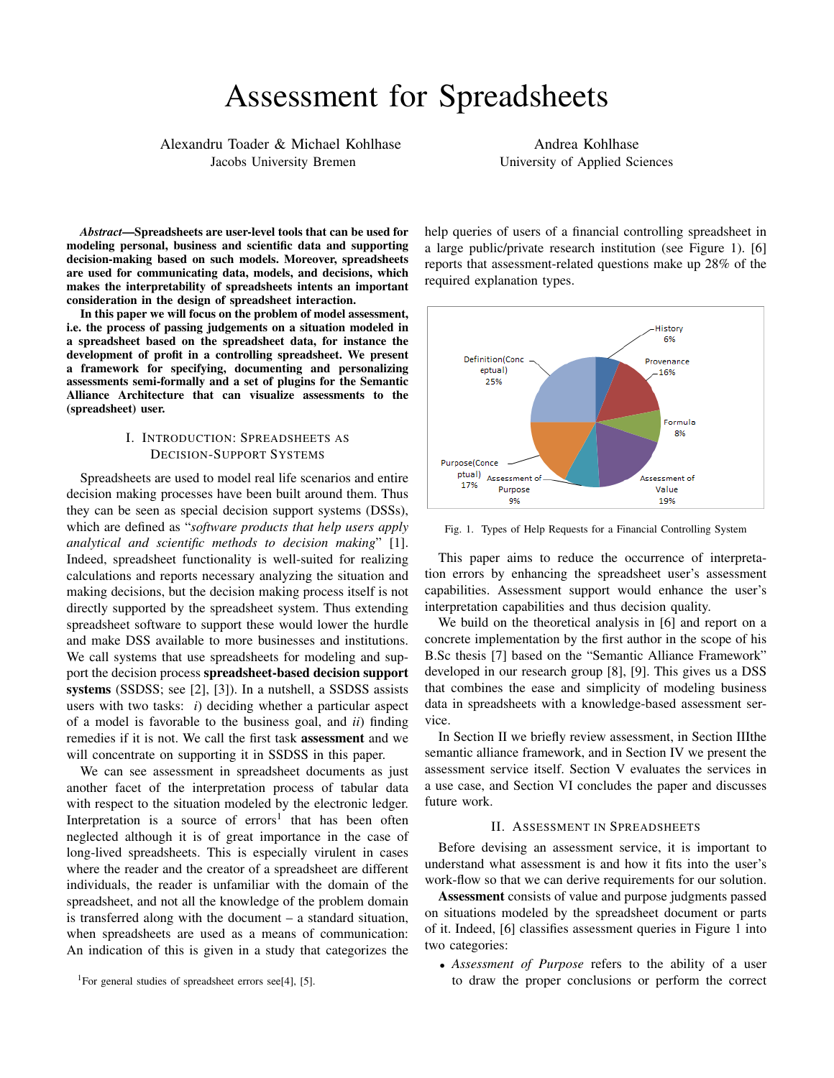# Assessment for Spreadsheets

Alexandru Toader & Michael Kohlhase Jacobs University Bremen

Andrea Kohlhase University of Applied Sciences

*Abstract*—Spreadsheets are user-level tools that can be used for modeling personal, business and scientific data and supporting decision-making based on such models. Moreover, spreadsheets are used for communicating data, models, and decisions, which makes the interpretability of spreadsheets intents an important consideration in the design of spreadsheet interaction.

In this paper we will focus on the problem of model assessment, i.e. the process of passing judgements on a situation modeled in a spreadsheet based on the spreadsheet data, for instance the development of profit in a controlling spreadsheet. We present a framework for specifying, documenting and personalizing assessments semi-formally and a set of plugins for the Semantic Alliance Architecture that can visualize assessments to the (spreadsheet) user.

# I. INTRODUCTION: SPREADSHEETS AS DECISION-SUPPORT SYSTEMS

Spreadsheets are used to model real life scenarios and entire decision making processes have been built around them. Thus they can be seen as special decision support systems (DSSs), which are defined as "*software products that help users apply analytical and scientific methods to decision making*" [1]. Indeed, spreadsheet functionality is well-suited for realizing calculations and reports necessary analyzing the situation and making decisions, but the decision making process itself is not directly supported by the spreadsheet system. Thus extending spreadsheet software to support these would lower the hurdle and make DSS available to more businesses and institutions. We call systems that use spreadsheets for modeling and support the decision process spreadsheet-based decision support systems (SSDSS; see [2], [3]). In a nutshell, a SSDSS assists users with two tasks: *i*) deciding whether a particular aspect of a model is favorable to the business goal, and *ii*) finding remedies if it is not. We call the first task assessment and we will concentrate on supporting it in SSDSS in this paper.

We can see assessment in spreadsheet documents as just another facet of the interpretation process of tabular data with respect to the situation modeled by the electronic ledger. Interpretation is a source of  $\arccos<sup>1</sup>$  that has been often neglected although it is of great importance in the case of long-lived spreadsheets. This is especially virulent in cases where the reader and the creator of a spreadsheet are different individuals, the reader is unfamiliar with the domain of the spreadsheet, and not all the knowledge of the problem domain is transferred along with the document – a standard situation, when spreadsheets are used as a means of communication: An indication of this is given in a study that categorizes the

help queries of users of a financial controlling spreadsheet in a large public/private research institution (see Figure 1). [6] reports that assessment-related questions make up 28% of the required explanation types.



Fig. 1. Types of Help Requests for a Financial Controlling System

This paper aims to reduce the occurrence of interpretation errors by enhancing the spreadsheet user's assessment capabilities. Assessment support would enhance the user's interpretation capabilities and thus decision quality.

We build on the theoretical analysis in [6] and report on a concrete implementation by the first author in the scope of his B.Sc thesis [7] based on the "Semantic Alliance Framework" developed in our research group [8], [9]. This gives us a DSS that combines the ease and simplicity of modeling business data in spreadsheets with a knowledge-based assessment service.

In Section II we briefly review assessment, in Section IIIthe semantic alliance framework, and in Section IV we present the assessment service itself. Section V evaluates the services in a use case, and Section VI concludes the paper and discusses future work.

## II. ASSESSMENT IN SPREADSHEETS

Before devising an assessment service, it is important to understand what assessment is and how it fits into the user's work-flow so that we can derive requirements for our solution.

Assessment consists of value and purpose judgments passed on situations modeled by the spreadsheet document or parts of it. Indeed, [6] classifies assessment queries in Figure 1 into two categories:

• *Assessment of Purpose* refers to the ability of a user to draw the proper conclusions or perform the correct

<sup>&</sup>lt;sup>1</sup>For general studies of spreadsheet errors see[4], [5].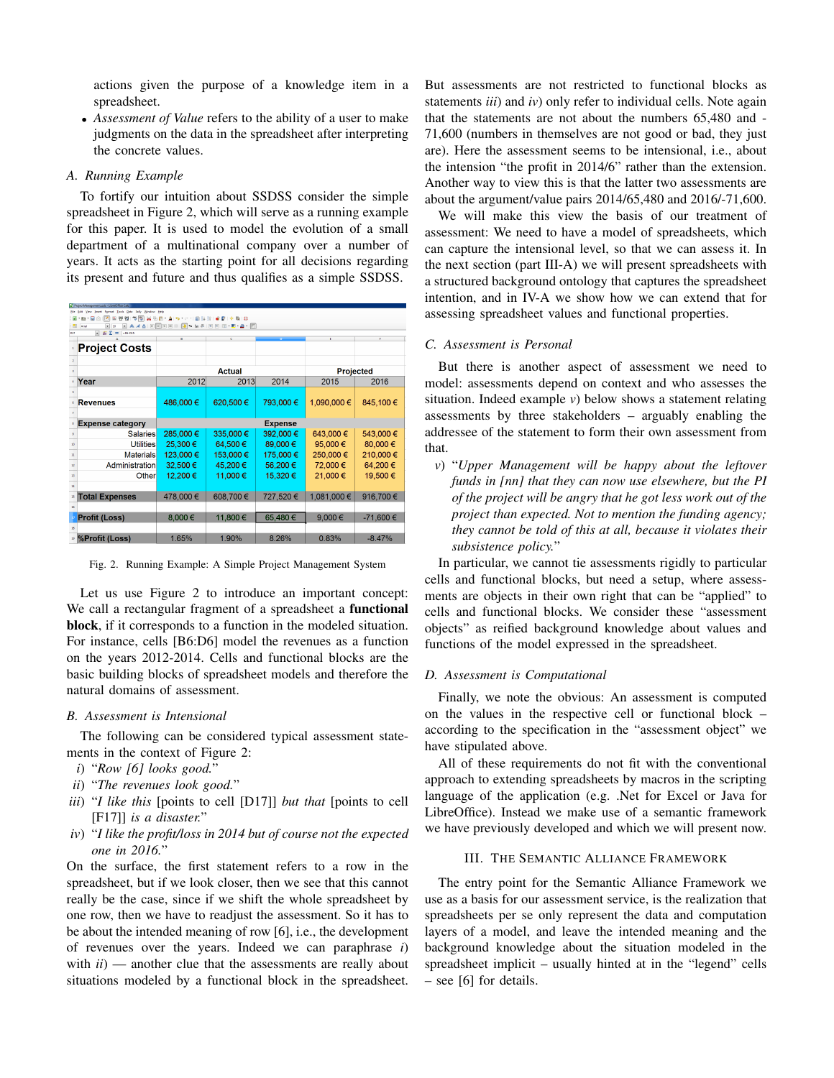actions given the purpose of a knowledge item in a spreadsheet.

• *Assessment of Value* refers to the ability of a user to make judgments on the data in the spreadsheet after interpreting the concrete values.

#### *A. Running Example*

To fortify our intuition about SSDSS consider the simple spreadsheet in Figure 2, which will serve as a running example for this paper. It is used to model the evolution of a small department of a multinational company over a number of years. It acts as the starting point for all decisions regarding its present and future and thus qualifies as a simple SSDSS.

| ProjectManagement.ods - LibreOffice Calc                                   |                         |                |           |           |                  |           |  |  |  |  |  |
|----------------------------------------------------------------------------|-------------------------|----------------|-----------|-----------|------------------|-----------|--|--|--|--|--|
| Year Insert Format Tools Data Sally Window Help                            |                         |                |           |           |                  |           |  |  |  |  |  |
| 55<br>※原則・直10 → 1回は注1回見10周1日<br>$\cdot$ Remains<br>m<br>Θ<br>w             |                         |                |           |           |                  |           |  |  |  |  |  |
| A4A EEE EE J× 5 5 6 8 F + 8 + 2<br>围<br>Arial<br>10<br>◛<br>$\blacksquare$ |                         |                |           |           |                  |           |  |  |  |  |  |
| $=$ $E$ $=$<br>$-06 - 015$<br>017                                          |                         |                |           |           |                  |           |  |  |  |  |  |
|                                                                            |                         | ×              | c         |           |                  | F.        |  |  |  |  |  |
|                                                                            | <b>Project Costs</b>    |                |           |           |                  |           |  |  |  |  |  |
|                                                                            |                         |                |           |           |                  |           |  |  |  |  |  |
| 3                                                                          |                         | <b>Actual</b>  |           |           | <b>Projected</b> |           |  |  |  |  |  |
|                                                                            | Year                    | 2012           | 2013      | 2014      | 2015             | 2016      |  |  |  |  |  |
|                                                                            |                         |                |           |           |                  |           |  |  |  |  |  |
|                                                                            | <b>Revenues</b>         | 486,000€       | 620,500€  | 793,000€  | 1,090,000 €      | 845,100€  |  |  |  |  |  |
|                                                                            |                         |                |           |           |                  |           |  |  |  |  |  |
|                                                                            | <b>Expense category</b> | <b>Expense</b> |           |           |                  |           |  |  |  |  |  |
| 9                                                                          | <b>Salaries</b>         | 285,000€       | 335,000 € | 392.000 € | 643,000€         | 543,000€  |  |  |  |  |  |
| 10                                                                         | <b>Utilities</b>        | 25,300 €       | 64,500€   | 89,000€   | 95,000€          | 80,000€   |  |  |  |  |  |
| n                                                                          | <b>Materials</b>        | 123,000 €      | 153,000 € | 175,000€  | 250,000€         | 210,000€  |  |  |  |  |  |
| 12                                                                         | Administration          | 32.500 €       | 45.200€   | 56.200€   | 72,000€          | 64,200€   |  |  |  |  |  |
| п                                                                          | Other                   | 12,200€        | 11,000€   | 15,320 €  | 21,000€          | 19,500€   |  |  |  |  |  |
| 14                                                                         |                         |                |           |           |                  |           |  |  |  |  |  |
| 15                                                                         | <b>Total Expenses</b>   | 478,000€       | 608,700€  | 727,520€  | 1,081,000 €      | 916,700€  |  |  |  |  |  |
| 16                                                                         |                         |                |           |           |                  |           |  |  |  |  |  |
|                                                                            | <b>Profit (Loss)</b>    | 8,000€         | 11,800€   | 65,480€   | 9,000€           | -71,600 € |  |  |  |  |  |
| 18                                                                         |                         |                |           |           |                  |           |  |  |  |  |  |
|                                                                            | %Profit (Loss)          | 1.65%          | 1.90%     | 8.26%     | 0.83%            | $-8.47%$  |  |  |  |  |  |

Fig. 2. Running Example: A Simple Project Management System

Let us use Figure 2 to introduce an important concept: We call a rectangular fragment of a spreadsheet a functional block, if it corresponds to a function in the modeled situation. For instance, cells [B6:D6] model the revenues as a function on the years 2012-2014. Cells and functional blocks are the basic building blocks of spreadsheet models and therefore the natural domains of assessment.

# *B. Assessment is Intensional*

The following can be considered typical assessment statements in the context of Figure 2:

- *i*) "*Row [6] looks good.*"
- *ii*) "*The revenues look good.*"
- *iii*) "*I like this* [points to cell [D17]] *but that* [points to cell [F17]] *is a disaster.*"
- *iv*) "*I like the profit/loss in 2014 but of course not the expected one in 2016.*"

On the surface, the first statement refers to a row in the spreadsheet, but if we look closer, then we see that this cannot really be the case, since if we shift the whole spreadsheet by one row, then we have to readjust the assessment. So it has to be about the intended meaning of row [6], i.e., the development of revenues over the years. Indeed we can paraphrase *i*) with *ii*) — another clue that the assessments are really about situations modeled by a functional block in the spreadsheet. But assessments are not restricted to functional blocks as statements *iii*) and *iv*) only refer to individual cells. Note again that the statements are not about the numbers 65,480 and - 71,600 (numbers in themselves are not good or bad, they just are). Here the assessment seems to be intensional, i.e., about the intension "the profit in 2014/6" rather than the extension. Another way to view this is that the latter two assessments are about the argument/value pairs 2014/65,480 and 2016/-71,600.

We will make this view the basis of our treatment of assessment: We need to have a model of spreadsheets, which can capture the intensional level, so that we can assess it. In the next section (part III-A) we will present spreadsheets with a structured background ontology that captures the spreadsheet intention, and in IV-A we show how we can extend that for assessing spreadsheet values and functional properties.

## *C. Assessment is Personal*

But there is another aspect of assessment we need to model: assessments depend on context and who assesses the situation. Indeed example *v*) below shows a statement relating assessments by three stakeholders – arguably enabling the addressee of the statement to form their own assessment from that.

*v*) "*Upper Management will be happy about the leftover funds in [nn] that they can now use elsewhere, but the PI of the project will be angry that he got less work out of the project than expected. Not to mention the funding agency; they cannot be told of this at all, because it violates their subsistence policy.*"

In particular, we cannot tie assessments rigidly to particular cells and functional blocks, but need a setup, where assessments are objects in their own right that can be "applied" to cells and functional blocks. We consider these "assessment objects" as reified background knowledge about values and functions of the model expressed in the spreadsheet.

#### *D. Assessment is Computational*

Finally, we note the obvious: An assessment is computed on the values in the respective cell or functional block – according to the specification in the "assessment object" we have stipulated above.

All of these requirements do not fit with the conventional approach to extending spreadsheets by macros in the scripting language of the application (e.g. .Net for Excel or Java for LibreOffice). Instead we make use of a semantic framework we have previously developed and which we will present now.

#### III. THE SEMANTIC ALLIANCE FRAMEWORK

The entry point for the Semantic Alliance Framework we use as a basis for our assessment service, is the realization that spreadsheets per se only represent the data and computation layers of a model, and leave the intended meaning and the background knowledge about the situation modeled in the spreadsheet implicit – usually hinted at in the "legend" cells – see [6] for details.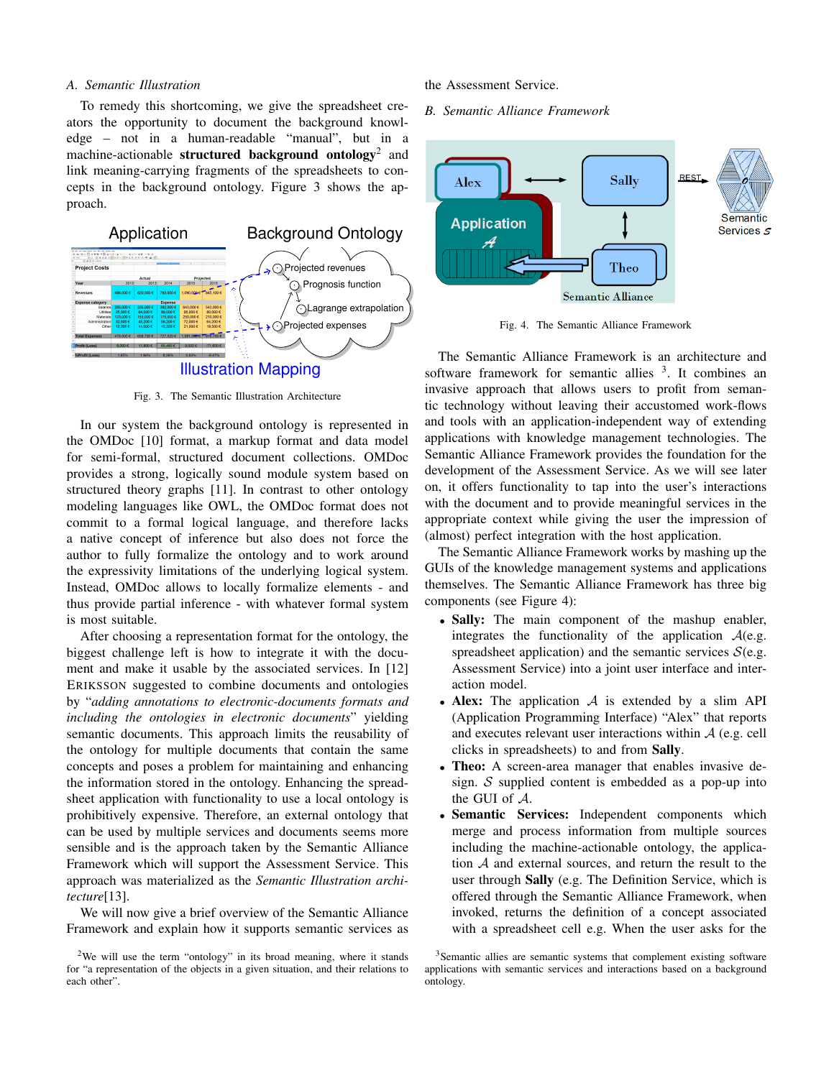#### *A. Semantic Illustration*

To remedy this shortcoming, we give the spreadsheet creators the opportunity to document the background knowledge – not in a human-readable "manual", but in a machine-actionable structured background ontology<sup>2</sup> and link meaning-carrying fragments of the spreadsheets to concepts in the background ontology. Figure 3 shows the approach.



Fig. 3. The Semantic Illustration Architecture

In our system the background ontology is represented in the OMDoc [10] format, a markup format and data model for semi-formal, structured document collections. OMDoc provides a strong, logically sound module system based on structured theory graphs [11]. In contrast to other ontology modeling languages like OWL, the OMDoc format does not commit to a formal logical language, and therefore lacks a native concept of inference but also does not force the author to fully formalize the ontology and to work around the expressivity limitations of the underlying logical system. Instead, OMDoc allows to locally formalize elements - and thus provide partial inference - with whatever formal system is most suitable.

After choosing a representation format for the ontology, the biggest challenge left is how to integrate it with the document and make it usable by the associated services. In [12] ERIKSSON suggested to combine documents and ontologies by "*adding annotations to electronic-documents formats and including the ontologies in electronic documents*" yielding semantic documents. This approach limits the reusability of the ontology for multiple documents that contain the same concepts and poses a problem for maintaining and enhancing the information stored in the ontology. Enhancing the spreadsheet application with functionality to use a local ontology is prohibitively expensive. Therefore, an external ontology that can be used by multiple services and documents seems more sensible and is the approach taken by the Semantic Alliance Framework which will support the Assessment Service. This approach was materialized as the *Semantic Illustration architecture*[13].

We will now give a brief overview of the Semantic Alliance Framework and explain how it supports semantic services as

#### the Assessment Service.

*B. Semantic Alliance Framework*



Fig. 4. The Semantic Alliance Framework

The Semantic Alliance Framework is an architecture and software framework for semantic allies  $3$ . It combines an invasive approach that allows users to profit from semantic technology without leaving their accustomed work-flows and tools with an application-independent way of extending applications with knowledge management technologies. The Semantic Alliance Framework provides the foundation for the development of the Assessment Service. As we will see later on, it offers functionality to tap into the user's interactions with the document and to provide meaningful services in the appropriate context while giving the user the impression of (almost) perfect integration with the host application.

The Semantic Alliance Framework works by mashing up the GUIs of the knowledge management systems and applications themselves. The Semantic Alliance Framework has three big components (see Figure 4):

- Sally: The main component of the mashup enabler, integrates the functionality of the application  $A(e.g.,\)$ spreadsheet application) and the semantic services  $S(e.g., )$ Assessment Service) into a joint user interface and interaction model.
- Alex: The application  $A$  is extended by a slim API (Application Programming Interface) "Alex" that reports and executes relevant user interactions within  $A$  (e.g. cell clicks in spreadsheets) to and from Sally.
- Theo: A screen-area manager that enables invasive design.  $S$  supplied content is embedded as a pop-up into the GUI of A.
- Semantic Services: Independent components which merge and process information from multiple sources including the machine-actionable ontology, the application A and external sources, and return the result to the user through Sally (e.g. The Definition Service, which is offered through the Semantic Alliance Framework, when invoked, returns the definition of a concept associated with a spreadsheet cell e.g. When the user asks for the

<sup>2</sup>We will use the term "ontology" in its broad meaning, where it stands for "a representation of the objects in a given situation, and their relations to each other".

<sup>&</sup>lt;sup>3</sup>Semantic allies are semantic systems that complement existing software applications with semantic services and interactions based on a background ontology.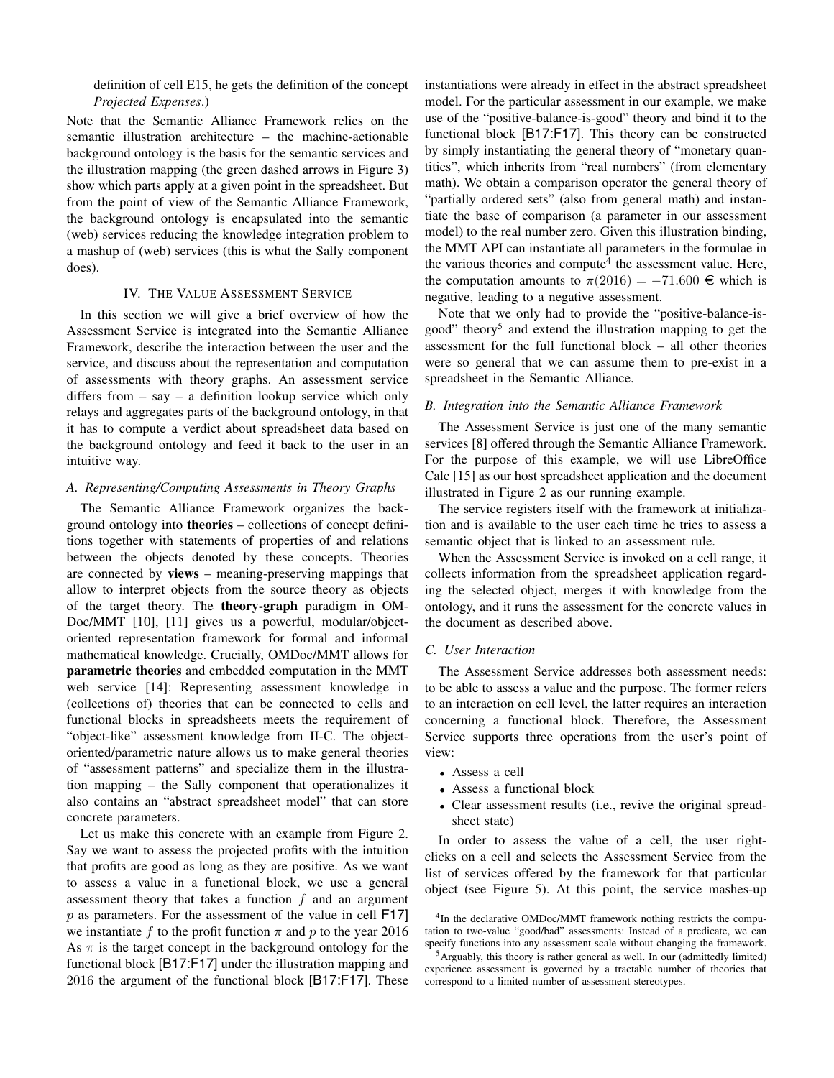definition of cell E15, he gets the definition of the concept *Projected Expenses*.)

Note that the Semantic Alliance Framework relies on the semantic illustration architecture – the machine-actionable background ontology is the basis for the semantic services and the illustration mapping (the green dashed arrows in Figure 3) show which parts apply at a given point in the spreadsheet. But from the point of view of the Semantic Alliance Framework, the background ontology is encapsulated into the semantic (web) services reducing the knowledge integration problem to a mashup of (web) services (this is what the Sally component does).

## IV. THE VALUE ASSESSMENT SERVICE

In this section we will give a brief overview of how the Assessment Service is integrated into the Semantic Alliance Framework, describe the interaction between the user and the service, and discuss about the representation and computation of assessments with theory graphs. An assessment service differs from – say – a definition lookup service which only relays and aggregates parts of the background ontology, in that it has to compute a verdict about spreadsheet data based on the background ontology and feed it back to the user in an intuitive way.

#### *A. Representing/Computing Assessments in Theory Graphs*

The Semantic Alliance Framework organizes the background ontology into theories – collections of concept definitions together with statements of properties of and relations between the objects denoted by these concepts. Theories are connected by views – meaning-preserving mappings that allow to interpret objects from the source theory as objects of the target theory. The theory-graph paradigm in OM-Doc/MMT [10], [11] gives us a powerful, modular/objectoriented representation framework for formal and informal mathematical knowledge. Crucially, OMDoc/MMT allows for parametric theories and embedded computation in the MMT web service [14]: Representing assessment knowledge in (collections of) theories that can be connected to cells and functional blocks in spreadsheets meets the requirement of "object-like" assessment knowledge from II-C. The objectoriented/parametric nature allows us to make general theories of "assessment patterns" and specialize them in the illustration mapping – the Sally component that operationalizes it also contains an "abstract spreadsheet model" that can store concrete parameters.

Let us make this concrete with an example from Figure 2. Say we want to assess the projected profits with the intuition that profits are good as long as they are positive. As we want to assess a value in a functional block, we use a general assessment theory that takes a function  $f$  and an argument  $p$  as parameters. For the assessment of the value in cell F17] we instantiate f to the profit function  $\pi$  and p to the year 2016 As  $\pi$  is the target concept in the background ontology for the functional block [B17:F17] under the illustration mapping and 2016 the argument of the functional block [B17:F17]. These

instantiations were already in effect in the abstract spreadsheet model. For the particular assessment in our example, we make use of the "positive-balance-is-good" theory and bind it to the functional block [B17:F17]. This theory can be constructed by simply instantiating the general theory of "monetary quantities", which inherits from "real numbers" (from elementary math). We obtain a comparison operator the general theory of "partially ordered sets" (also from general math) and instantiate the base of comparison (a parameter in our assessment model) to the real number zero. Given this illustration binding, the MMT API can instantiate all parameters in the formulae in the various theories and compute<sup>4</sup> the assessment value. Here, the computation amounts to  $\pi(2016) = -71.600 \in \mathbb{R}$  which is negative, leading to a negative assessment.

Note that we only had to provide the "positive-balance-isgood" theory<sup>5</sup> and extend the illustration mapping to get the assessment for the full functional block – all other theories were so general that we can assume them to pre-exist in a spreadsheet in the Semantic Alliance.

## *B. Integration into the Semantic Alliance Framework*

The Assessment Service is just one of the many semantic services [8] offered through the Semantic Alliance Framework. For the purpose of this example, we will use LibreOffice Calc [15] as our host spreadsheet application and the document illustrated in Figure 2 as our running example.

The service registers itself with the framework at initialization and is available to the user each time he tries to assess a semantic object that is linked to an assessment rule.

When the Assessment Service is invoked on a cell range, it collects information from the spreadsheet application regarding the selected object, merges it with knowledge from the ontology, and it runs the assessment for the concrete values in the document as described above.

#### *C. User Interaction*

The Assessment Service addresses both assessment needs: to be able to assess a value and the purpose. The former refers to an interaction on cell level, the latter requires an interaction concerning a functional block. Therefore, the Assessment Service supports three operations from the user's point of view:

- Assess a cell
- Assess a functional block
- Clear assessment results (i.e., revive the original spreadsheet state)

In order to assess the value of a cell, the user rightclicks on a cell and selects the Assessment Service from the list of services offered by the framework for that particular object (see Figure 5). At this point, the service mashes-up

<sup>&</sup>lt;sup>4</sup>In the declarative OMDoc/MMT framework nothing restricts the computation to two-value "good/bad" assessments: Instead of a predicate, we can specify functions into any assessment scale without changing the framework.

<sup>5</sup>Arguably, this theory is rather general as well. In our (admittedly limited) experience assessment is governed by a tractable number of theories that correspond to a limited number of assessment stereotypes.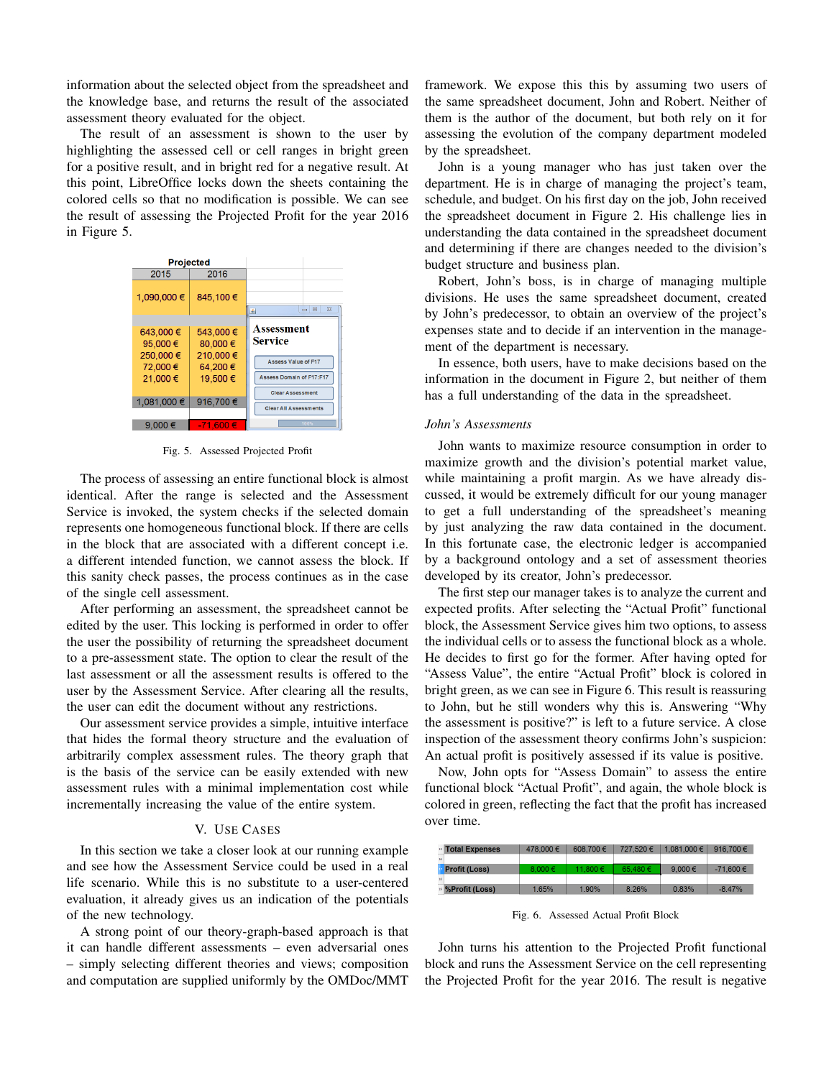information about the selected object from the spreadsheet and the knowledge base, and returns the result of the associated assessment theory evaluated for the object.

The result of an assessment is shown to the user by highlighting the assessed cell or cell ranges in bright green for a positive result, and in bright red for a negative result. At this point, LibreOffice locks down the sheets containing the colored cells so that no modification is possible. We can see the result of assessing the Projected Profit for the year 2016 in Figure 5.



Fig. 5. Assessed Projected Profit

The process of assessing an entire functional block is almost identical. After the range is selected and the Assessment Service is invoked, the system checks if the selected domain represents one homogeneous functional block. If there are cells in the block that are associated with a different concept i.e. a different intended function, we cannot assess the block. If this sanity check passes, the process continues as in the case of the single cell assessment.

After performing an assessment, the spreadsheet cannot be edited by the user. This locking is performed in order to offer the user the possibility of returning the spreadsheet document to a pre-assessment state. The option to clear the result of the last assessment or all the assessment results is offered to the user by the Assessment Service. After clearing all the results, the user can edit the document without any restrictions.

Our assessment service provides a simple, intuitive interface that hides the formal theory structure and the evaluation of arbitrarily complex assessment rules. The theory graph that is the basis of the service can be easily extended with new assessment rules with a minimal implementation cost while incrementally increasing the value of the entire system.

## V. USE CASES

In this section we take a closer look at our running example and see how the Assessment Service could be used in a real life scenario. While this is no substitute to a user-centered evaluation, it already gives us an indication of the potentials of the new technology.

A strong point of our theory-graph-based approach is that it can handle different assessments – even adversarial ones – simply selecting different theories and views; composition and computation are supplied uniformly by the OMDoc/MMT

framework. We expose this this by assuming two users of the same spreadsheet document, John and Robert. Neither of them is the author of the document, but both rely on it for assessing the evolution of the company department modeled by the spreadsheet.

John is a young manager who has just taken over the department. He is in charge of managing the project's team, schedule, and budget. On his first day on the job, John received the spreadsheet document in Figure 2. His challenge lies in understanding the data contained in the spreadsheet document and determining if there are changes needed to the division's budget structure and business plan.

Robert, John's boss, is in charge of managing multiple divisions. He uses the same spreadsheet document, created by John's predecessor, to obtain an overview of the project's expenses state and to decide if an intervention in the management of the department is necessary.

In essence, both users, have to make decisions based on the information in the document in Figure 2, but neither of them has a full understanding of the data in the spreadsheet.

# *John's Assessments*

John wants to maximize resource consumption in order to maximize growth and the division's potential market value, while maintaining a profit margin. As we have already discussed, it would be extremely difficult for our young manager to get a full understanding of the spreadsheet's meaning by just analyzing the raw data contained in the document. In this fortunate case, the electronic ledger is accompanied by a background ontology and a set of assessment theories developed by its creator, John's predecessor.

The first step our manager takes is to analyze the current and expected profits. After selecting the "Actual Profit" functional block, the Assessment Service gives him two options, to assess the individual cells or to assess the functional block as a whole. He decides to first go for the former. After having opted for "Assess Value", the entire "Actual Profit" block is colored in bright green, as we can see in Figure 6. This result is reassuring to John, but he still wonders why this is. Answering "Why the assessment is positive?" is left to a future service. A close inspection of the assessment theory confirms John's suspicion: An actual profit is positively assessed if its value is positive.

Now, John opts for "Assess Domain" to assess the entire functional block "Actual Profit", and again, the whole block is colored in green, reflecting the fact that the profit has increased over time.

|    | <b><sup>15</sup></b> Total Expenses  | 478,000 € | 608.700€ | 727.520€ | 1.081.000 € | 916.700€      |
|----|--------------------------------------|-----------|----------|----------|-------------|---------------|
| 16 |                                      |           |          |          |             |               |
|    | Profit (Loss)                        | 8.000 €   | 11.800 € | 65.480€  | 9.000 $\in$ | $-71.600 \in$ |
|    |                                      |           |          |          |             |               |
|    | <sup>19</sup> <i>%</i> Profit (Loss) | 1.65%     | 1.90%    | 8.26%    | 0.83%       | $-8.47%$      |
|    |                                      |           |          |          |             |               |

Fig. 6. Assessed Actual Profit Block

John turns his attention to the Projected Profit functional block and runs the Assessment Service on the cell representing the Projected Profit for the year 2016. The result is negative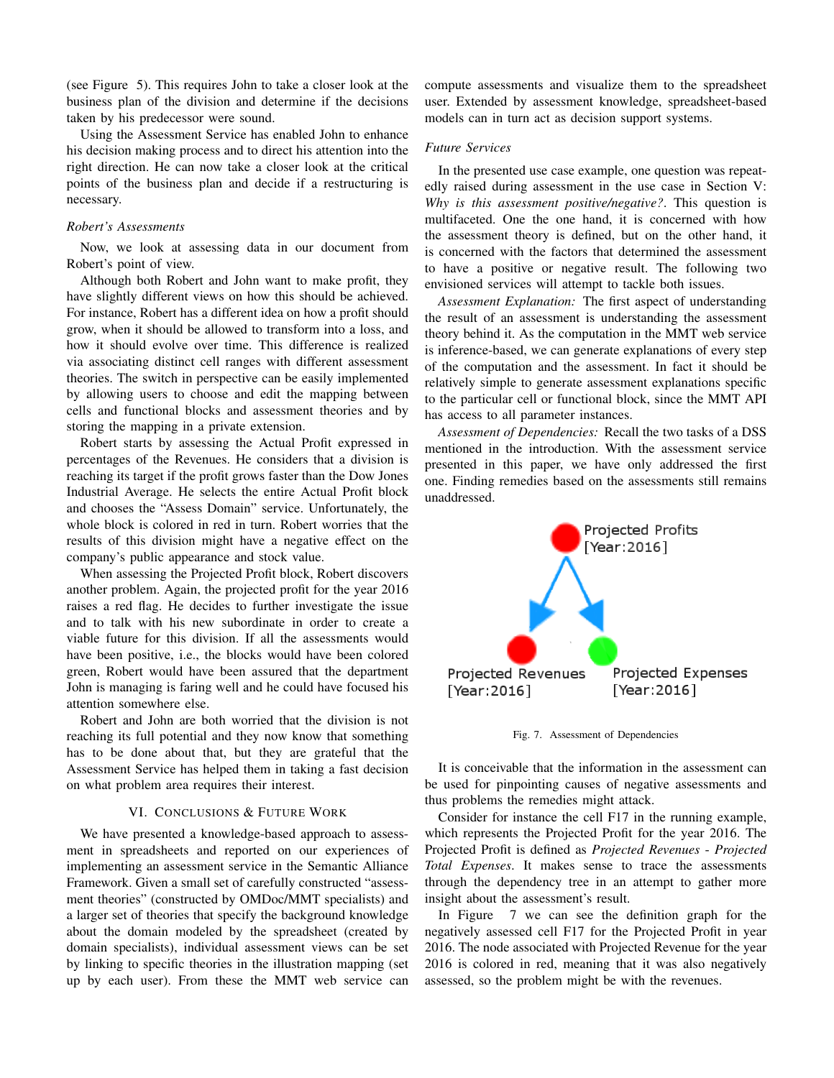(see Figure 5). This requires John to take a closer look at the business plan of the division and determine if the decisions taken by his predecessor were sound.

Using the Assessment Service has enabled John to enhance his decision making process and to direct his attention into the right direction. He can now take a closer look at the critical points of the business plan and decide if a restructuring is necessary.

# *Robert's Assessments*

Now, we look at assessing data in our document from Robert's point of view.

Although both Robert and John want to make profit, they have slightly different views on how this should be achieved. For instance, Robert has a different idea on how a profit should grow, when it should be allowed to transform into a loss, and how it should evolve over time. This difference is realized via associating distinct cell ranges with different assessment theories. The switch in perspective can be easily implemented by allowing users to choose and edit the mapping between cells and functional blocks and assessment theories and by storing the mapping in a private extension.

Robert starts by assessing the Actual Profit expressed in percentages of the Revenues. He considers that a division is reaching its target if the profit grows faster than the Dow Jones Industrial Average. He selects the entire Actual Profit block and chooses the "Assess Domain" service. Unfortunately, the whole block is colored in red in turn. Robert worries that the results of this division might have a negative effect on the company's public appearance and stock value.

When assessing the Projected Profit block, Robert discovers another problem. Again, the projected profit for the year 2016 raises a red flag. He decides to further investigate the issue and to talk with his new subordinate in order to create a viable future for this division. If all the assessments would have been positive, i.e., the blocks would have been colored green, Robert would have been assured that the department John is managing is faring well and he could have focused his attention somewhere else.

Robert and John are both worried that the division is not reaching its full potential and they now know that something has to be done about that, but they are grateful that the Assessment Service has helped them in taking a fast decision on what problem area requires their interest.

## VI. CONCLUSIONS & FUTURE WORK

We have presented a knowledge-based approach to assessment in spreadsheets and reported on our experiences of implementing an assessment service in the Semantic Alliance Framework. Given a small set of carefully constructed "assessment theories" (constructed by OMDoc/MMT specialists) and a larger set of theories that specify the background knowledge about the domain modeled by the spreadsheet (created by domain specialists), individual assessment views can be set by linking to specific theories in the illustration mapping (set up by each user). From these the MMT web service can compute assessments and visualize them to the spreadsheet user. Extended by assessment knowledge, spreadsheet-based models can in turn act as decision support systems.

## *Future Services*

In the presented use case example, one question was repeatedly raised during assessment in the use case in Section V: *Why is this assessment positive/negative?*. This question is multifaceted. One the one hand, it is concerned with how the assessment theory is defined, but on the other hand, it is concerned with the factors that determined the assessment to have a positive or negative result. The following two envisioned services will attempt to tackle both issues.

*Assessment Explanation:* The first aspect of understanding the result of an assessment is understanding the assessment theory behind it. As the computation in the MMT web service is inference-based, we can generate explanations of every step of the computation and the assessment. In fact it should be relatively simple to generate assessment explanations specific to the particular cell or functional block, since the MMT API has access to all parameter instances.

*Assessment of Dependencies:* Recall the two tasks of a DSS mentioned in the introduction. With the assessment service presented in this paper, we have only addressed the first one. Finding remedies based on the assessments still remains unaddressed.



Fig. 7. Assessment of Dependencies

It is conceivable that the information in the assessment can be used for pinpointing causes of negative assessments and thus problems the remedies might attack.

Consider for instance the cell F17 in the running example, which represents the Projected Profit for the year 2016. The Projected Profit is defined as *Projected Revenues* - *Projected Total Expenses*. It makes sense to trace the assessments through the dependency tree in an attempt to gather more insight about the assessment's result.

In Figure 7 we can see the definition graph for the negatively assessed cell F17 for the Projected Profit in year 2016. The node associated with Projected Revenue for the year 2016 is colored in red, meaning that it was also negatively assessed, so the problem might be with the revenues.